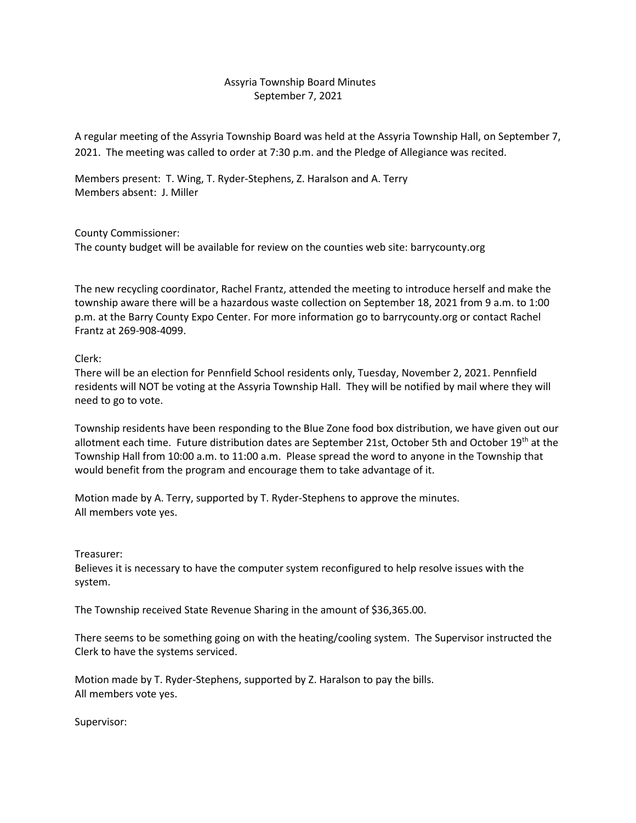## Assyria Township Board Minutes September 7, 2021

A regular meeting of the Assyria Township Board was held at the Assyria Township Hall, on September 7, 2021. The meeting was called to order at 7:30 p.m. and the Pledge of Allegiance was recited.

Members present: T. Wing, T. Ryder-Stephens, Z. Haralson and A. Terry Members absent: J. Miller

County Commissioner: The county budget will be available for review on the counties web site: barrycounty.org

The new recycling coordinator, Rachel Frantz, attended the meeting to introduce herself and make the township aware there will be a hazardous waste collection on September 18, 2021 from 9 a.m. to 1:00 p.m. at the Barry County Expo Center. For more information go to barrycounty.org or contact Rachel Frantz at 269-908-4099.

## Clerk:

There will be an election for Pennfield School residents only, Tuesday, November 2, 2021. Pennfield residents will NOT be voting at the Assyria Township Hall. They will be notified by mail where they will need to go to vote.

Township residents have been responding to the Blue Zone food box distribution, we have given out our allotment each time. Future distribution dates are September 21st, October 5th and October 19<sup>th</sup> at the Township Hall from 10:00 a.m. to 11:00 a.m. Please spread the word to anyone in the Township that would benefit from the program and encourage them to take advantage of it.

Motion made by A. Terry, supported by T. Ryder-Stephens to approve the minutes. All members vote yes.

Treasurer:

Believes it is necessary to have the computer system reconfigured to help resolve issues with the system.

The Township received State Revenue Sharing in the amount of \$36,365.00.

There seems to be something going on with the heating/cooling system. The Supervisor instructed the Clerk to have the systems serviced.

Motion made by T. Ryder-Stephens, supported by Z. Haralson to pay the bills. All members vote yes.

Supervisor: